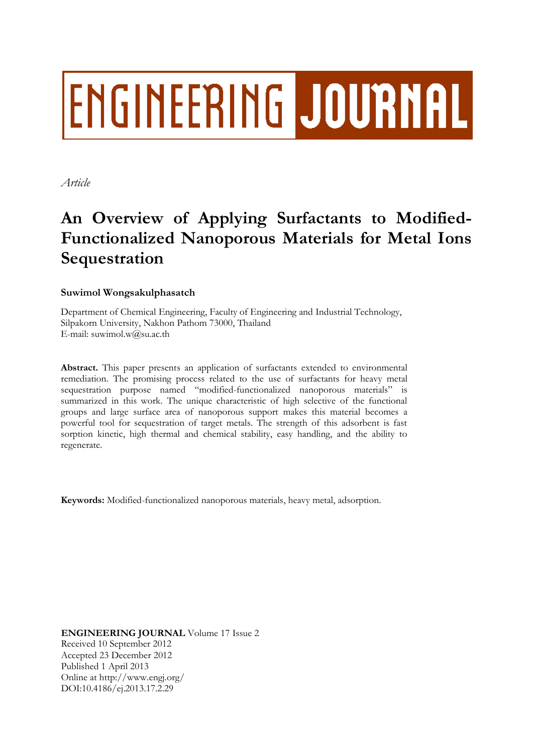# **ENGINEERING JOURNAL**

*Article*

## **An Overview of Applying Surfactants to Modified-Functionalized Nanoporous Materials for Metal Ions Sequestration**

### **Suwimol Wongsakulphasatch**

Department of Chemical Engineering, Faculty of Engineering and Industrial Technology, Silpakorn University, Nakhon Pathom 73000, Thailand E-mail: suwimol.w $@$ su.ac.th

**Abstract.** This paper presents an application of surfactants extended to environmental remediation. The promising process related to the use of surfactants for heavy metal sequestration purpose named "modified-functionalized nanoporous materials" is summarized in this work. The unique characteristic of high selective of the functional groups and large surface area of nanoporous support makes this material becomes a powerful tool for sequestration of target metals. The strength of this adsorbent is fast sorption kinetic, high thermal and chemical stability, easy handling, and the ability to regenerate.

**Keywords:** Modified-functionalized nanoporous materials, heavy metal, adsorption.

**ENGINEERING JOURNAL** Volume 17 Issue 2 Received 10 September 2012 Accepted 23 December 2012 Published 1 April 2013 Online at http://www.engj.org/ DOI:10.4186/ej.2013.17.2.29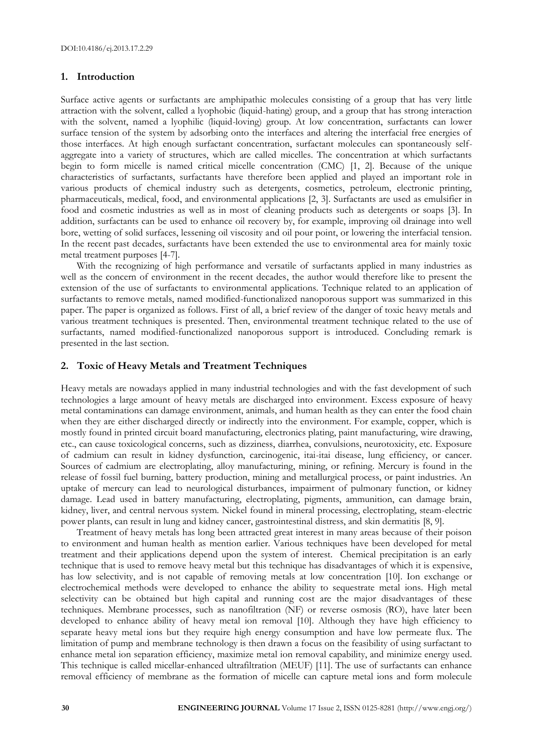#### **1. Introduction**

Surface active agents or surfactants are amphipathic molecules consisting of a group that has very little attraction with the solvent, called a lyophobic (liquid-hating) group, and a group that has strong interaction with the solvent, named a lyophilic (liquid-loving) group. At low concentration, surfactants can lower surface tension of the system by adsorbing onto the interfaces and altering the interfacial free energies of those interfaces. At high enough surfactant concentration, surfactant molecules can spontaneously selfaggregate into a variety of structures, which are called micelles. The concentration at which surfactants begin to form micelle is named critical micelle concentration (CMC) [1, 2]. Because of the unique characteristics of surfactants, surfactants have therefore been applied and played an important role in various products of chemical industry such as detergents, cosmetics, petroleum, electronic printing, pharmaceuticals, medical, food, and environmental applications [2, 3]. Surfactants are used as emulsifier in food and cosmetic industries as well as in most of cleaning products such as detergents or soaps [3]. In addition, surfactants can be used to enhance oil recovery by, for example, improving oil drainage into well bore, wetting of solid surfaces, lessening oil viscosity and oil pour point, or lowering the interfacial tension. In the recent past decades, surfactants have been extended the use to environmental area for mainly toxic metal treatment purposes [4-7].

With the recognizing of high performance and versatile of surfactants applied in many industries as well as the concern of environment in the recent decades, the author would therefore like to present the extension of the use of surfactants to environmental applications. Technique related to an application of surfactants to remove metals, named modified-functionalized nanoporous support was summarized in this paper. The paper is organized as follows. First of all, a brief review of the danger of toxic heavy metals and various treatment techniques is presented. Then, environmental treatment technique related to the use of surfactants, named modified-functionalized nanoporous support is introduced. Concluding remark is presented in the last section.

#### **2. Toxic of Heavy Metals and Treatment Techniques**

Heavy metals are nowadays applied in many industrial technologies and with the fast development of such technologies a large amount of heavy metals are discharged into environment. Excess exposure of heavy metal contaminations can damage environment, animals, and human health as they can enter the food chain when they are either discharged directly or indirectly into the environment. For example, copper, which is mostly found in printed circuit board manufacturing, electronics plating, paint manufacturing, wire drawing, etc., can cause toxicological concerns, such as dizziness, diarrhea, convulsions, neurotoxicity, etc. Exposure of cadmium can result in kidney dysfunction, carcinogenic, itai-itai disease, lung efficiency, or cancer. Sources of cadmium are electroplating, alloy manufacturing, mining, or refining. Mercury is found in the release of fossil fuel burning, battery production, mining and metallurgical process, or paint industries. An uptake of mercury can lead to neurological disturbances, impairment of pulmonary function, or kidney damage. Lead used in battery manufacturing, electroplating, pigments, ammunition, can damage brain, kidney, liver, and central nervous system. Nickel found in mineral processing, electroplating, steam-electric power plants, can result in lung and kidney cancer, gastrointestinal distress, and skin dermatitis [8, 9].

Treatment of heavy metals has long been attracted great interest in many areas because of their poison to environment and human health as mention earlier. Various techniques have been developed for metal treatment and their applications depend upon the system of interest. Chemical precipitation is an early technique that is used to remove heavy metal but this technique has disadvantages of which it is expensive, has low selectivity, and is not capable of removing metals at low concentration [10]. Ion exchange or electrochemical methods were developed to enhance the ability to sequestrate metal ions. High metal selectivity can be obtained but high capital and running cost are the major disadvantages of these techniques. Membrane processes, such as nanofiltration (NF) or reverse osmosis (RO), have later been developed to enhance ability of heavy metal ion removal [10]. Although they have high efficiency to separate heavy metal ions but they require high energy consumption and have low permeate flux. The limitation of pump and membrane technology is then drawn a focus on the feasibility of using surfactant to enhance metal ion separation efficiency, maximize metal ion removal capability, and minimize energy used. This technique is called micellar-enhanced ultrafiltration (MEUF) [11]. The use of surfactants can enhance removal efficiency of membrane as the formation of micelle can capture metal ions and form molecule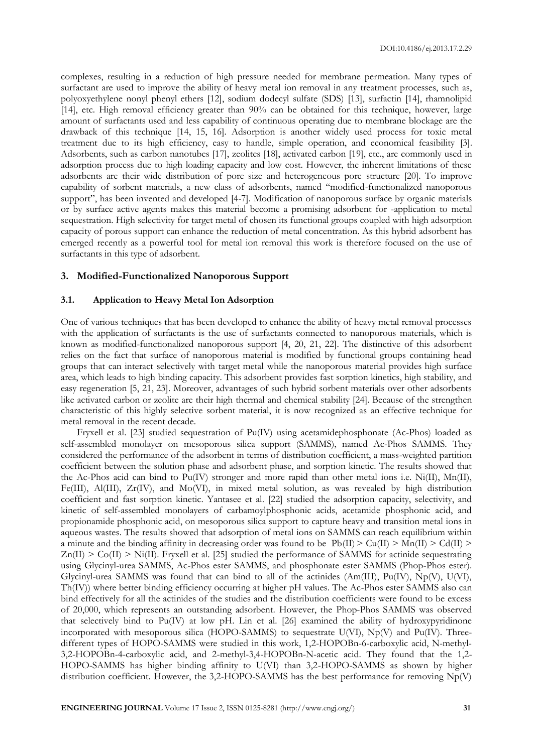complexes, resulting in a reduction of high pressure needed for membrane permeation. Many types of surfactant are used to improve the ability of heavy metal ion removal in any treatment processes, such as, polyoxyethylene nonyl phenyl ethers [12], sodium dodecyl sulfate (SDS) [13], surfactin [14], rhamnolipid [14], etc. High removal efficiency greater than 90% can be obtained for this technique, however, large amount of surfactants used and less capability of continuous operating due to membrane blockage are the drawback of this technique [14, 15, 16]. Adsorption is another widely used process for toxic metal treatment due to its high efficiency, easy to handle, simple operation, and economical feasibility [3]. Adsorbents, such as carbon nanotubes [17], zeolites [18], activated carbon [19], etc., are commonly used in adsorption process due to high loading capacity and low cost. However, the inherent limitations of these adsorbents are their wide distribution of pore size and heterogeneous pore structure [20]. To improve capability of sorbent materials, a new class of adsorbents, named "modified-functionalized nanoporous support", has been invented and developed [4-7]. Modification of nanoporous surface by organic materials or by surface active agents makes this material become a promising adsorbent for -application to metal sequestration. High selectivity for target metal of chosen its functional groups coupled with high adsorption capacity of porous support can enhance the reduction of metal concentration. As this hybrid adsorbent has emerged recently as a powerful tool for metal ion removal this work is therefore focused on the use of surfactants in this type of adsorbent.

#### **3. Modified-Functionalized Nanoporous Support**

#### **3.1. Application to Heavy Metal Ion Adsorption**

One of various techniques that has been developed to enhance the ability of heavy metal removal processes with the application of surfactants is the use of surfactants connected to nanoporous materials, which is known as modified-functionalized nanoporous support [4, 20, 21, 22]. The distinctive of this adsorbent relies on the fact that surface of nanoporous material is modified by functional groups containing head groups that can interact selectively with target metal while the nanoporous material provides high surface area, which leads to high binding capacity. This adsorbent provides fast sorption kinetics, high stability, and easy regeneration [5, 21, 23]. Moreover, advantages of such hybrid sorbent materials over other adsorbents like activated carbon or zeolite are their high thermal and chemical stability [24]. Because of the strengthen characteristic of this highly selective sorbent material, it is now recognized as an effective technique for metal removal in the recent decade.

Fryxell et al. [23] studied sequestration of Pu(IV) using acetamidephosphonate (Ac-Phos) loaded as self-assembled monolayer on mesoporous silica support (SAMMS), named Ac-Phos SAMMS. They considered the performance of the adsorbent in terms of distribution coefficient, a mass-weighted partition coefficient between the solution phase and adsorbent phase, and sorption kinetic. The results showed that the Ac-Phos acid can bind to Pu(IV) stronger and more rapid than other metal ions i.e. Ni(II), Mn(II), Fe(III), Al(III), Zr(IV), and Mo(VI), in mixed metal solution, as was revealed by high distribution coefficient and fast sorption kinetic. Yantasee et al. [22] studied the adsorption capacity, selectivity, and kinetic of self-assembled monolayers of carbamoylphosphonic acids, acetamide phosphonic acid, and propionamide phosphonic acid, on mesoporous silica support to capture heavy and transition metal ions in aqueous wastes. The results showed that adsorption of metal ions on SAMMS can reach equilibrium within a minute and the binding affinity in decreasing order was found to be  $Pb(II) > Cu(II) > Ma(II) > Cd(II) >$  $Zn(II) > Co(II) > Ni(II)$ . Fryxell et al. [25] studied the performance of SAMMS for actinide sequestrating using Glycinyl-urea SAMMS, Ac-Phos ester SAMMS, and phosphonate ester SAMMS (Phop-Phos ester). Glycinyl-urea SAMMS was found that can bind to all of the actinides (Am(III), Pu(IV), Np(V), U(VI), Th(IV)) where better binding efficiency occurring at higher pH values. The Ac-Phos ester SAMMS also can bind effectively for all the actinides of the studies and the distribution coefficients were found to be excess of 20,000, which represents an outstanding adsorbent. However, the Phop-Phos SAMMS was observed that selectively bind to Pu(IV) at low pH. Lin et al. [26] examined the ability of hydroxypyridinone incorporated with mesoporous silica (HOPO-SAMMS) to sequestrate U(VI), Np(V) and Pu(IV). Threedifferent types of HOPO-SAMMS were studied in this work, 1,2-HOPOBn-6-carboxylic acid, N-methyl-3,2-HOPOBn-4-carboxylic acid, and 2-methyl-3,4-HOPOBn-N-acetic acid. They found that the 1,2- HOPO-SAMMS has higher binding affinity to U(VI) than 3,2-HOPO-SAMMS as shown by higher distribution coefficient. However, the 3,2-HOPO-SAMMS has the best performance for removing Np(V)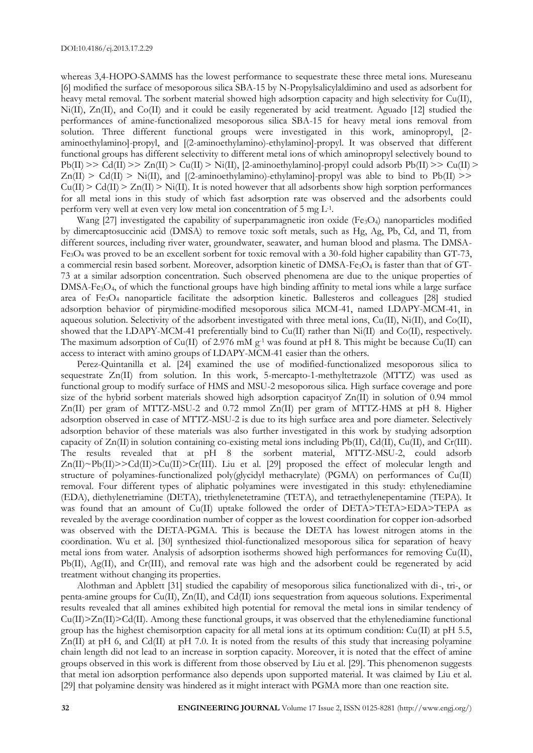whereas 3,4-HOPO-SAMMS has the lowest performance to sequestrate these three metal ions. Mureseanu [6] modified the surface of mesoporous silica SBA-15 by N-Propylsalicylaldimino and used as adsorbent for heavy metal removal. The sorbent material showed high adsorption capacity and high selectivity for Cu(II), Ni(II), Zn(II), and Co(II) and it could be easily regenerated by acid treatment. Aguado [12] studied the performances of amine-functionalized mesoporous silica SBA-15 for heavy metal ions removal from solution. Three different functional groups were investigated in this work, aminopropyl, [2 aminoethylamino]-propyl, and [(2-aminoethylamino)-ethylamino]-propyl. It was observed that different functional groups has different selectivity to different metal ions of which aminopropyl selectively bound to  $Pb(II)$  >>  $\tilde{C}d(II)$  >>  $Zn(II)$  >  $\tilde{C}u(II)$  >  $\tilde{N}i(II)$ , [2-aminoethylamino]-propyl could adsorb  $Pb(II)$  >>  $\tilde{C}u(II)$  >  $Zn(II) > Cd(II) > Ni(II)$ , and  $[(2-aminoethylamino)-ethylamino]-propyl$  was able to bind to  $Pb(II)$  >>  $Cu(II) > Cd(II) > Zn(II) > Ni(II)$ . It is noted however that all adsorbents show high sorption performances for all metal ions in this study of which fast adsorption rate was observed and the adsorbents could perform very well at even very low metal ion concentration of  $5 \text{ mg } L^{-1}$ .

Wang [27] investigated the capability of superparamagnetic iron oxide (Fe<sub>3</sub>O<sub>4</sub>) nanoparticles modified by dimercaptosuccinic acid (DMSA) to remove toxic soft metals, such as Hg, Ag, Pb, Cd, and Tl, from different sources, including river water, groundwater, seawater, and human blood and plasma. The DMSA- $Fe<sub>3</sub>O<sub>4</sub>$  was proved to be an excellent sorbent for toxic removal with a 30-fold higher capability than GT-73, a commercial resin based sorbent. Moreover, adsorption kinetic of DMSA-Fe<sub>3</sub>O<sub>4</sub> is faster than that of GT-73 at a similar adsorption concentration. Such observed phenomena are due to the unique properties of DMSA-Fe3O4, of which the functional groups have high binding affinity to metal ions while a large surface area of Fe3O<sup>4</sup> nanoparticle facilitate the adsorption kinetic. Ballesteros and colleagues [28] studied adsorption behavior of pirymidine-modified mesoporous silica MCM-41, named LDAPY-MCM-41, in aqueous solution. Selectivity of the adsorbent investigated with three metal ions, Cu(II), Ni(II), and Co(II), showed that the LDAPY-MCM-41 preferentially bind to Cu(II) rather than Ni(II) and Co(II), respectively. The maximum adsorption of Cu(II) of 2.976 mM g<sup>-1</sup> was found at pH 8. This might be because Cu(II) can access to interact with amino groups of LDAPY-MCM-41 easier than the others.

Perez-Quintanilla et al. [24] examined the use of modified-functionalized mesoporous silica to sequestrate Zn(II) from solution. In this work, 5-mercapto-1-methyltetrazole (MTTZ) was used as functional group to modify surface of HMS and MSU-2 mesoporous silica. High surface coverage and pore size of the hybrid sorbent materials showed high adsorption capacity of  $Zn(II)$  in solution of 0.94 mmol Zn(II) per gram of MTTZ-MSU-2 and 0.72 mmol Zn(II) per gram of MTTZ-HMS at pH 8. Higher adsorption observed in case of MTTZ-MSU-2 is due to its high surface area and pore diameter. Selectively adsorption behavior of these materials was also further investigated in this work by studying adsorption capacity of Zn(II) in solution containing co-existing metal ions including Pb(II), Cd(II), Cu(II), and Cr(III). The results revealed that at pH 8 the sorbent material, MTTZ-MSU-2, could adsorb  $Zn(II) \sim Pb(II) \geq Cd(II) \geq Cu(II) \geq Cr(III)$ . Liu et al. [29] proposed the effect of molecular length and structure of polyamines-functionalized poly(glycidyl methacrylate) (PGMA) on performances of Cu(II) removal. Four different types of aliphatic polyamines were investigated in this study: ethylenediamine (EDA), diethylenetriamine (DETA), triethylenetetramine (TETA), and tetraethylenepentamine (TEPA). It was found that an amount of Cu(II) uptake followed the order of DETA>TETA>EDA>TEPA as revealed by the average coordination number of copper as the lowest coordination for copper ion-adsorbed was observed with the DETA-PGMA. This is because the DETA has lowest nitrogen atoms in the coordination. Wu et al. [30] synthesized thiol-functionalized mesoporous silica for separation of heavy metal ions from water. Analysis of adsorption isotherms showed high performances for removing Cu(II), Pb(II), Ag(II), and Cr(III), and removal rate was high and the adsorbent could be regenerated by acid treatment without changing its properties.

Alothman and Apblett [31] studied the capability of mesoporous silica functionalized with di-, tri-, or penta-amine groups for Cu(II), Zn(II), and Cd(II) ions sequestration from aqueous solutions. Experimental results revealed that all amines exhibited high potential for removal the metal ions in similar tendency of Cu(II)>Zn(II)>Cd(II). Among these functional groups, it was observed that the ethylenediamine functional group has the highest chemisorption capacity for all metal ions at its optimum condition:  $Cu(II)$  at pH 5.5, Zn(II) at pH 6, and Cd(II) at pH 7.0. It is noted from the results of this study that increasing polyamine chain length did not lead to an increase in sorption capacity. Moreover, it is noted that the effect of amine groups observed in this work is different from those observed by Liu et al. [29]. This phenomenon suggests that metal ion adsorption performance also depends upon supported material. It was claimed by Liu et al. [29] that polyamine density was hindered as it might interact with PGMA more than one reaction site.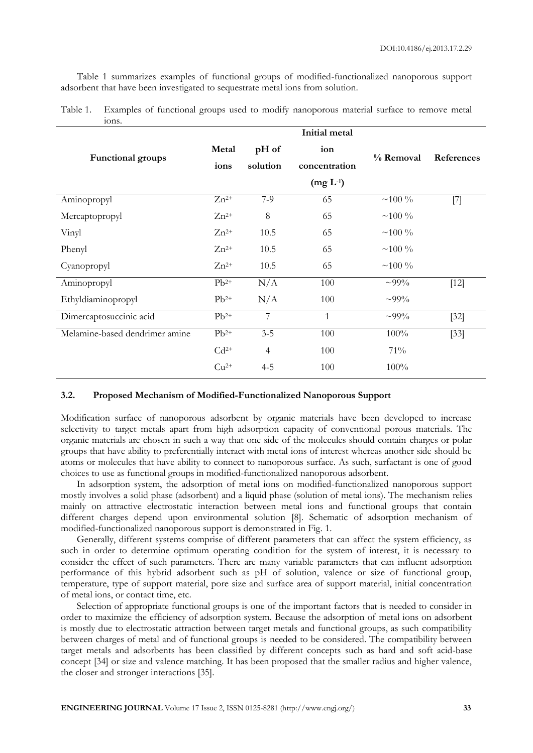Table 1 summarizes examples of functional groups of modified-functionalized nanoporous support adsorbent that have been investigated to sequestrate metal ions from solution.

| ions.                          |           |                |               |             |            |
|--------------------------------|-----------|----------------|---------------|-------------|------------|
|                                |           |                | Initial metal |             |            |
| <b>Functional groups</b>       | Metal     | pH of          | ion           |             | References |
|                                | ions      | solution       | concentration | % Removal   |            |
|                                |           |                | $(mg L^{-1})$ |             |            |
| Aminopropyl                    | $Zn^{2+}$ | $7-9$          | 65            | $~100\%$    | $[7]$      |
| Mercaptopropyl                 | $Zn^{2+}$ | 8              | 65            | $~100\%$    |            |
| Vinyl                          | $Zn^{2+}$ | 10.5           | 65            | $~100\%$    |            |
| Phenyl                         | $Zn^{2+}$ | 10.5           | 65            | $~100\%$    |            |
| Cyanopropyl                    | $Zn^{2+}$ | 10.5           | 65            | $~100\%$    |            |
| Aminopropyl                    | $Pb^{2+}$ | N/A            | 100           | $\sim 99\%$ | $[12]$     |
| Ethyldiaminopropyl             | $Pb^{2+}$ | N/A            | 100           | $\sim 99\%$ |            |
| Dimercaptosuccinic acid        | $Pb^{2+}$ | 7              | $\mathbf{1}$  | $\sim 99\%$ | $[32]$     |
| Melamine-based dendrimer amine | $Pb^{2+}$ | $3 - 5$        | 100           | 100%        | $[33]$     |
|                                | $Cd^{2+}$ | $\overline{4}$ | 100           | 71%         |            |
|                                | $Cu2+$    | $4 - 5$        | 100           | 100%        |            |
|                                |           |                |               |             |            |

| Table 1. Examples of functional groups used to modify nanoporous material surface to remove metal |  |  |  |  |  |
|---------------------------------------------------------------------------------------------------|--|--|--|--|--|
| 10 <sub>ns</sub>                                                                                  |  |  |  |  |  |

#### **3.2. Proposed Mechanism of Modified-Functionalized Nanoporous Support**

Modification surface of nanoporous adsorbent by organic materials have been developed to increase selectivity to target metals apart from high adsorption capacity of conventional porous materials. The organic materials are chosen in such a way that one side of the molecules should contain charges or polar groups that have ability to preferentially interact with metal ions of interest whereas another side should be atoms or molecules that have ability to connect to nanoporous surface. As such, surfactant is one of good choices to use as functional groups in modified-functionalized nanoporous adsorbent.

In adsorption system, the adsorption of metal ions on modified-functionalized nanoporous support mostly involves a solid phase (adsorbent) and a liquid phase (solution of metal ions). The mechanism relies mainly on attractive electrostatic interaction between metal ions and functional groups that contain different charges depend upon environmental solution [8]. Schematic of adsorption mechanism of modified-functionalized nanoporous support is demonstrated in Fig. 1.

Generally, different systems comprise of different parameters that can affect the system efficiency, as such in order to determine optimum operating condition for the system of interest, it is necessary to consider the effect of such parameters. There are many variable parameters that can influent adsorption performance of this hybrid adsorbent such as pH of solution, valence or size of functional group, temperature, type of support material, pore size and surface area of support material, initial concentration of metal ions, or contact time, etc.

Selection of appropriate functional groups is one of the important factors that is needed to consider in order to maximize the efficiency of adsorption system. Because the adsorption of metal ions on adsorbent is mostly due to electrostatic attraction between target metals and functional groups, as such compatibility between charges of metal and of functional groups is needed to be considered. The compatibility between target metals and adsorbents has been classified by different concepts such as hard and soft acid-base concept [34] or size and valence matching. It has been proposed that the smaller radius and higher valence, the closer and stronger interactions [35].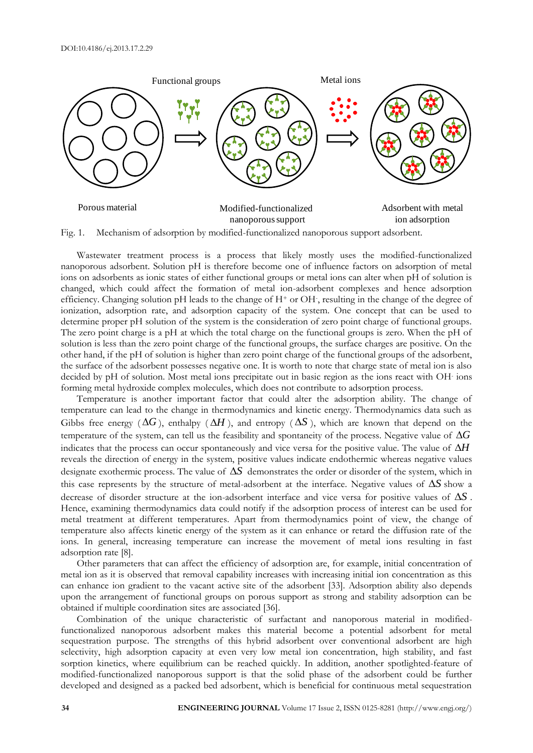

Fig. 1. Mechanism of adsorption by modified-functionalized nanoporous support adsorbent.

Wastewater treatment process is a process that likely mostly uses the modified-functionalized nanoporous adsorbent. Solution pH is therefore become one of influence factors on adsorption of metal ions on adsorbents as ionic states of either functional groups or metal ions can alter when pH of solution is changed, which could affect the formation of metal ion-adsorbent complexes and hence adsorption efficiency. Changing solution pH leads to the change of H<sup>+</sup> or OH, resulting in the change of the degree of ionization, adsorption rate, and adsorption capacity of the system. One concept that can be used to determine proper pH solution of the system is the consideration of zero point charge of functional groups. The zero point charge is a pH at which the total charge on the functional groups is zero. When the pH of solution is less than the zero point charge of the functional groups, the surface charges are positive. On the other hand, if the pH of solution is higher than zero point charge of the functional groups of the adsorbent, the surface of the adsorbent possesses negative one. It is worth to note that charge state of metal ion is also decided by pH of solution. Most metal ions precipitate out in basic region as the ions react with OH-ions forming metal hydroxide complex molecules, which does not contribute to adsorption process.

Temperature is another important factor that could alter the adsorption ability. The change of temperature can lead to the change in thermodynamics and kinetic energy. Thermodynamics data such as Gibbs free energy ( $\Delta G$ ), enthalpy ( $\Delta H$ ), and entropy ( $\Delta S$ ), which are known that depend on the temperature of the system, can tell us the feasibility and spontaneity of the process. Negative value of  $\Delta G$ indicates that the process can occur spontaneously and vice versa for the positive value. The value of  $\Delta H$ reveals the direction of energy in the system, positive values indicate endothermic whereas negative values designate exothermic process. The value of  $\Delta S$  demonstrates the order or disorder of the system, which in this case represents by the structure of metal-adsorbent at the interface. Negative values of  $\Delta S$  show a decrease of disorder structure at the ion-adsorbent interface and vice versa for positive values of  $\Delta S$ . Hence, examining thermodynamics data could notify if the adsorption process of interest can be used for metal treatment at different temperatures. Apart from thermodynamics point of view, the change of temperature also affects kinetic energy of the system as it can enhance or retard the diffusion rate of the ions. In general, increasing temperature can increase the movement of metal ions resulting in fast adsorption rate [8].

Other parameters that can affect the efficiency of adsorption are, for example, initial concentration of metal ion as it is observed that removal capability increases with increasing initial ion concentration as this can enhance ion gradient to the vacant active site of the adsorbent [33]. Adsorption ability also depends upon the arrangement of functional groups on porous support as strong and stability adsorption can be obtained if multiple coordination sites are associated [36].

Combination of the unique characteristic of surfactant and nanoporous material in modifiedfunctionalized nanoporous adsorbent makes this material become a potential adsorbent for metal sequestration purpose. The strengths of this hybrid adsorbent over conventional adsorbent are high selectivity, high adsorption capacity at even very low metal ion concentration, high stability, and fast sorption kinetics, where equilibrium can be reached quickly. In addition, another spotlighted-feature of modified-functionalized nanoporous support is that the solid phase of the adsorbent could be further developed and designed as a packed bed adsorbent, which is beneficial for continuous metal sequestration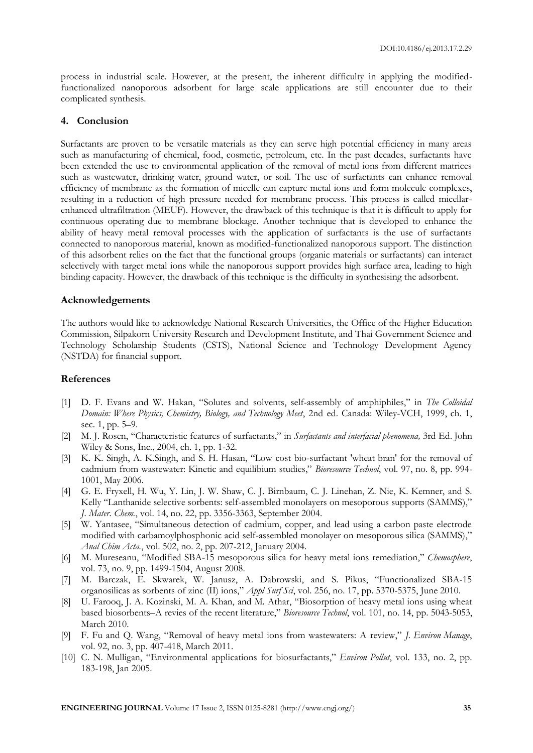process in industrial scale. However, at the present, the inherent difficulty in applying the modifiedfunctionalized nanoporous adsorbent for large scale applications are still encounter due to their complicated synthesis.

#### **4. Conclusion**

Surfactants are proven to be versatile materials as they can serve high potential efficiency in many areas such as manufacturing of chemical, food, cosmetic, petroleum, etc. In the past decades, surfactants have been extended the use to environmental application of the removal of metal ions from different matrices such as wastewater, drinking water, ground water, or soil. The use of surfactants can enhance removal efficiency of membrane as the formation of micelle can capture metal ions and form molecule complexes, resulting in a reduction of high pressure needed for membrane process. This process is called micellarenhanced ultrafiltration (MEUF). However, the drawback of this technique is that it is difficult to apply for continuous operating due to membrane blockage. Another technique that is developed to enhance the ability of heavy metal removal processes with the application of surfactants is the use of surfactants connected to nanoporous material, known as modified-functionalized nanoporous support. The distinction of this adsorbent relies on the fact that the functional groups (organic materials or surfactants) can interact selectively with target metal ions while the nanoporous support provides high surface area, leading to high binding capacity. However, the drawback of this technique is the difficulty in synthesising the adsorbent.

#### **Acknowledgements**

The authors would like to acknowledge National Research Universities, the Office of the Higher Education Commission, Silpakorn University Research and Development Institute, and Thai Government Science and Technology Scholarship Students (CSTS), National Science and Technology Development Agency (NSTDA) for financial support.

#### **References**

- [1] D. F. Evans and W. Hakan, "Solutes and solvents, self-assembly of amphiphiles," in *The Colloidal Domain: Where Physics, Chemistry, Biology, and Technology Meet*, 2nd ed. Canada: Wiley-VCH, 1999, ch. 1, sec. 1, pp. 5–9.
- [2] M. J. Rosen, "Characteristic features of surfactants," in *Surfactants and interfacial phenomena,* 3rd Ed. John Wiley & Sons, Inc., 2004, ch. 1, pp. 1-32.
- [3] K. K. Singh, A. K.Singh, and S. H. Hasan, "Low cost bio-surfactant 'wheat bran' for the removal of cadmium from wastewater: Kinetic and equilibium studies," *Bioresource Technol*, vol. 97, no. 8, pp. 994- 1001, May 2006.
- [4] G. E. Fryxell, H. Wu, Y. Lin, J. W. Shaw, C. J. Birnbaum, C. J. Linehan, Z. Nie, K. Kemner, and S. Kelly "Lanthanide selective sorbents: self-assembled monolayers on mesoporous supports (SAMMS)," *J. Mater. Chem.*, vol. 14, no. 22, pp. 3356-3363, September 2004.
- [5] W. Yantasee, "Simultaneous detection of cadmium, copper, and lead using a carbon paste electrode modified with carbamoylphosphonic acid self-assembled monolayer on mesoporous silica (SAMMS)," *Anal Chim Acta.*, vol. 502, no. 2, pp. 207-212, January 2004.
- [6] M. Mureseanu, "Modified SBA-15 mesoporous silica for heavy metal ions remediation," *Chemosphere*, vol. 73, no. 9, pp. 1499-1504, August 2008.
- [7] M. Barczak, E. Skwarek, W. Janusz, A. Dabrowski, and S. Pikus, "Functionalized SBA-15 organosilicas as sorbents of zinc (II) ions," *Appl Surf Sci*, vol. 256, no. 17, pp. 5370-5375, June 2010.
- [8] U. Farooq, J. A. Kozinski, M. A. Khan, and M. Athar, "Biosorption of heavy metal ions using wheat based biosorbents–A revies of the recent literature," *Bioresource Technol*, vol. 101, no. 14, pp. 5043-5053, March 2010.
- [9] F. Fu and Q. Wang, "Removal of heavy metal ions from wastewaters: A review," *J. Environ Manage*, vol. 92, no. 3, pp. 407-418, March 2011.
- [10] C. N. Mulligan, "Environmental applications for biosurfactants," *Environ Pollut*, vol. 133, no. 2, pp. 183-198, Jan 2005.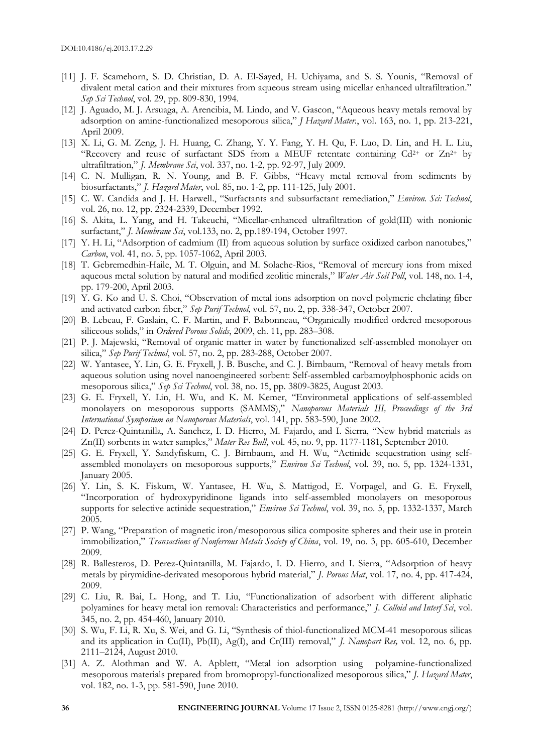- [11] J. F. Scamehorn, S. D. Christian, D. A. El-Sayed, H. Uchiyama, and S. S. Younis, "Removal of divalent metal cation and their mixtures from aqueous stream using micellar enhanced ultrafiltration." *Sep Sci Technol*, vol. 29, pp. 809-830, 1994.
- [12] J. Aguado, M. J. Arsuaga, A. Arencibia, M. Lindo, and V. Gascon, "Aqueous heavy metals removal by adsorption on amine-functionalized mesoporous silica," *J Hazard Mater.*, vol. 163, no. 1, pp. 213-221, April 2009.
- [13] X. Li, G. M. Zeng, J. H. Huang, C. Zhang, Y. Y. Fang, Y. H. Qu, F. Luo, D. Lin, and H. L. Liu, "Recovery and reuse of surfactant SDS from a MEUF retentate containing  $Cd^{2+}$  or  $Zn^{2+}$  by ultrafiltration," *J. Membrane Sci*, vol. 337, no. 1-2, pp. 92-97, July 2009.
- [14] C. N. Mulligan, R. N. Young, and B. F. Gibbs, "Heavy metal removal from sediments by biosurfactants," *J. Hazard Mater*, vol. 85, no. 1-2, pp. 111-125, July 2001.
- [15] C. W. Candida and J. H. Harwell., "Surfactants and subsurfactant remediation," *Environ. Sci: Technol*, vol. 26, no. 12, pp. 2324-2339, December 1992.
- [16] S. Akita, L. Yang, and H. Takeuchi, "Micellar-enhanced ultrafiltration of gold(III) with nonionic surfactant," *J. Membrane Sci*, vol.133, no. 2, pp.189-194, October 1997.
- [17] Y. H. Li, "Adsorption of cadmium (II) from aqueous solution by surface oxidized carbon nanotubes," *Carbon*, vol. 41, no. 5, pp. 1057-1062, April 2003.
- [18] T. Gebremedhin-Haile, M. T. Olguin, and M. Solache-Rios, "Removal of mercury ions from mixed aqueous metal solution by natural and modified zeolitic minerals," *Water Air Soil Poll*, vol. 148, no. 1-4, pp. 179-200, April 2003.
- [19] Y. G. Ko and U. S. Choi, "Observation of metal ions adsorption on novel polymeric chelating fiber and activated carbon fiber," *Sep Purif Technol*, vol. 57, no. 2, pp. 338-347, October 2007.
- [20] B. Lebeau, F. Gaslain, C. F. Martin, and F. Babonneau, "Organically modified ordered mesoporous siliceous solids," in *Ordered Porous Solids*, 2009, ch. 11, pp. 283–308.
- [21] P. J. Majewski, "Removal of organic matter in water by functionalized self-assembled monolayer on silica," *Sep Purif Technol*, vol. 57, no. 2, pp. 283-288, October 2007.
- [22] W. Yantasee, Y. Lin, G. E. Fryxell, J. B. Busche, and C. J. Birnbaum, "Removal of heavy metals from aqueous solution using novel nanoengineered sorbent: Self-assembled carbamoylphosphonic acids on mesoporous silica," *Sep Sci Technol*, vol. 38, no. 15, pp. 3809-3825, August 2003.
- [23] G. E. Fryxell, Y. Lin, H. Wu, and K. M. Kemer, "Environmetal applications of self-assembled monolayers on mesoporous supports (SAMMS)," *Nanoporous Materials III, Proceedings of the 3rd International Symposium on Nanoporous Materials*, vol. 141, pp. 583-590, June 2002.
- [24] D. Perez-Quintanilla, A. Sanchez, I. D. Hierro, M. Fajardo, and I. Sierra, "New hybrid materials as Zn(II) sorbents in water samples," *Mater Res Bull*, vol. 45, no. 9, pp. 1177-1181, September 2010.
- [25] G. E. Fryxell, Y. Sandyfiskum, C. J. Birnbaum, and H. Wu, "Actinide sequestration using selfassembled monolayers on mesoporous supports," *Environ Sci Technol*, vol. 39, no. 5, pp. 1324-1331, January 2005.
- [26] Y. Lin, S. K. Fiskum, W. Yantasee, H. Wu, S. Mattigod, E. Vorpagel, and G. E. Fryxell, "Incorporation of hydroxypyridinone ligands into self-assembled monolayers on mesoporous supports for selective actinide sequestration," *Environ Sci Technol*, vol. 39, no. 5, pp. 1332-1337, March 2005.
- [27] P. Wang, "Preparation of magnetic iron/mesoporous silica composite spheres and their use in protein immobilization," *Transactions of Nonferrous Metals Society of China*, vol. 19, no. 3, pp. 605-610, December 2009.
- [28] R. Ballesteros, D. Perez-Quintanilla, M. Fajardo, I. D. Hierro, and I. Sierra, "Adsorption of heavy metals by pirymidine-derivated mesoporous hybrid material," *J. Porous Mat*, vol. 17, no. 4, pp. 417-424, 2009.
- [29] C. Liu, R. Bai, L. Hong, and T. Liu, "Functionalization of adsorbent with different aliphatic polyamines for heavy metal ion removal: Characteristics and performance," *J. Colloid and Interf Sci*, vol. 345, no. 2, pp. 454-460, January 2010.
- [30] S. Wu, F. Li, R. Xu, S. Wei, and G. Li, "Synthesis of thiol-functionalized MCM-41 mesoporous silicas and its application in Cu(II), Pb(II), Ag(I), and Cr(III) removal," *J. Nanopart Res,* vol. 12, no. 6, pp. 2111–2124, August 2010.
- [31] A. Z. Alothman and W. A. Apblett, "Metal ion adsorption using polyamine-functionalized mesoporous materials prepared from bromopropyl-functionalized mesoporous silica," *J. Hazard Mater*, vol. 182, no. 1-3, pp. 581-590, June 2010.